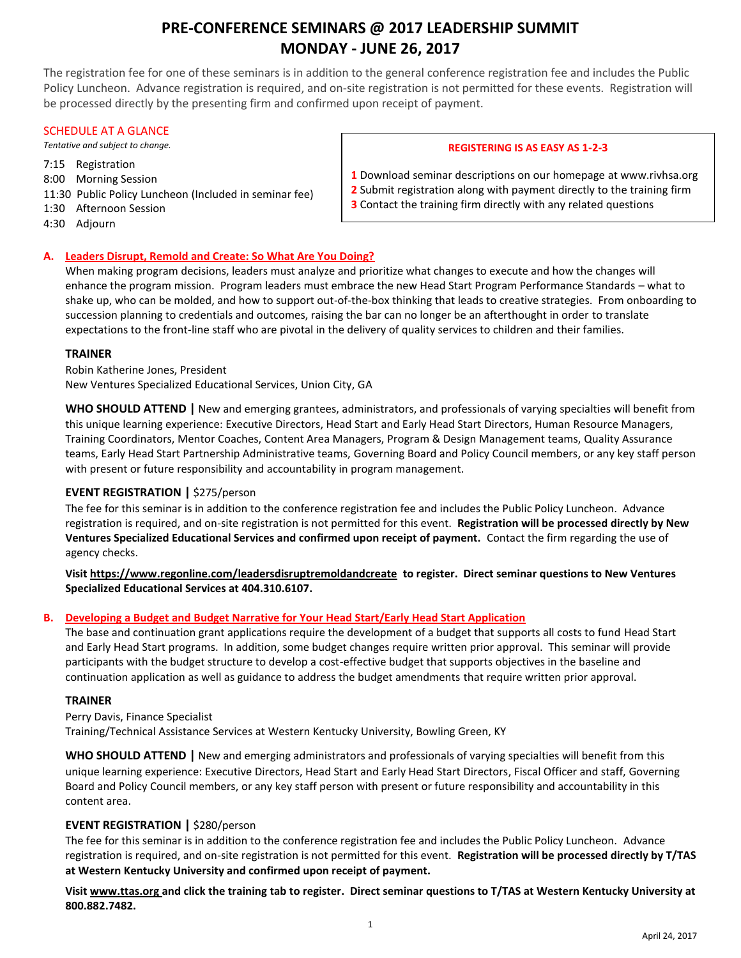# **PRE-CONFERENCE SEMINARS @ 2017 LEADERSHIP SUMMIT MONDAY - JUNE 26, 2017**

The registration fee for one of these seminars is in addition to the general conference registration fee and includes the Public Policy Luncheon. Advance registration is required, and on-site registration is not permitted for these events. Registration will be processed directly by the presenting firm and confirmed upon receipt of payment.

# SCHEDULE AT A GLANCE

*Tentative and subject to change.*

- 7:15 Registration
- 8:00 Morning Session
- 11:30 Public Policy Luncheon (Included in seminar fee)
- 1:30 Afternoon Session
- 4:30 Adjourn

# **A. Leaders Disrupt, Remold and Create: So What Are You Doing?**

When making program decisions, leaders must analyze and prioritize what changes to execute and how the changes will enhance the program mission. Program leaders must embrace the new Head Start Program Performance Standards – what to shake up, who can be molded, and how to support out-of-the-box thinking that leads to creative strategies. From onboarding to succession planning to credentials and outcomes, raising the bar can no longer be an afterthought in order to translate expectations to the front-line staff who are pivotal in the delivery of quality services to children and their families.

# **TRAINER**

Robin Katherine Jones, President New Ventures Specialized Educational Services, Union City, GA

**WHO SHOULD ATTEND |** New and emerging grantees, administrators, and professionals of varying specialties will benefit from this unique learning experience: Executive Directors, Head Start and Early Head Start Directors, Human Resource Managers, Training Coordinators, Mentor Coaches, Content Area Managers, Program & Design Management teams, Quality Assurance teams, Early Head Start Partnership Administrative teams, Governing Board and Policy Council members, or any key staff person with present or future responsibility and accountability in program management.

# **EVENT REGISTRATION |** \$275/person

The fee for this seminar is in addition to the conference registration fee and includes the Public Policy Luncheon. Advance registration is required, and on-site registration is not permitted for this event. **Registration will be processed directly by New Ventures Specialized Educational Services and confirmed upon receipt of payment.** Contact the firm regarding the use of agency checks.

**Visi[t https://www.regonline.com/leadersdisruptremoldandcreate](https://www.regonline.com/leadersdisruptremoldandcreate) to register. Direct seminar questions to New Ventures Specialized Educational Services at 404.310.6107.**

# **B. Developing a Budget and Budget Narrative for Your Head Start/Early Head Start Application**

The base and continuation grant applications require the development of a budget that supports all costs to fund Head Start and Early Head Start programs. In addition, some budget changes require written prior approval. This seminar will provide participants with the budget structure to develop a cost-effective budget that supports objectives in the baseline and continuation application as well as guidance to address the budget amendments that require written prior approval.

# **TRAINER**

Perry Davis, Finance Specialist Training/Technical Assistance Services at Western Kentucky University, Bowling Green, KY

**WHO SHOULD ATTEND |** New and emerging administrators and professionals of varying specialties will benefit from this unique learning experience: Executive Directors, Head Start and Early Head Start Directors, Fiscal Officer and staff, Governing Board and Policy Council members, or any key staff person with present or future responsibility and accountability in this content area.

# **EVENT REGISTRATION |** \$280/person

The fee for this seminar is in addition to the conference registration fee and includes the Public Policy Luncheon. Advance registration is required, and on-site registration is not permitted for this event. **Registration will be processed directly by T/TAS at Western Kentucky University and confirmed upon receipt of payment.** 

**Visit www.ttas.org and click the training tab to register. Direct seminar questions to T/TAS at Western Kentucky University at 800.882.7482.**

# **REGISTERING IS AS EASY AS 1-2-3**

**1** Download seminar descriptions on our homepage at www.rivhsa.org **2** Submit registration along with payment directly to the training firm **3** Contact the training firm directly with any related questions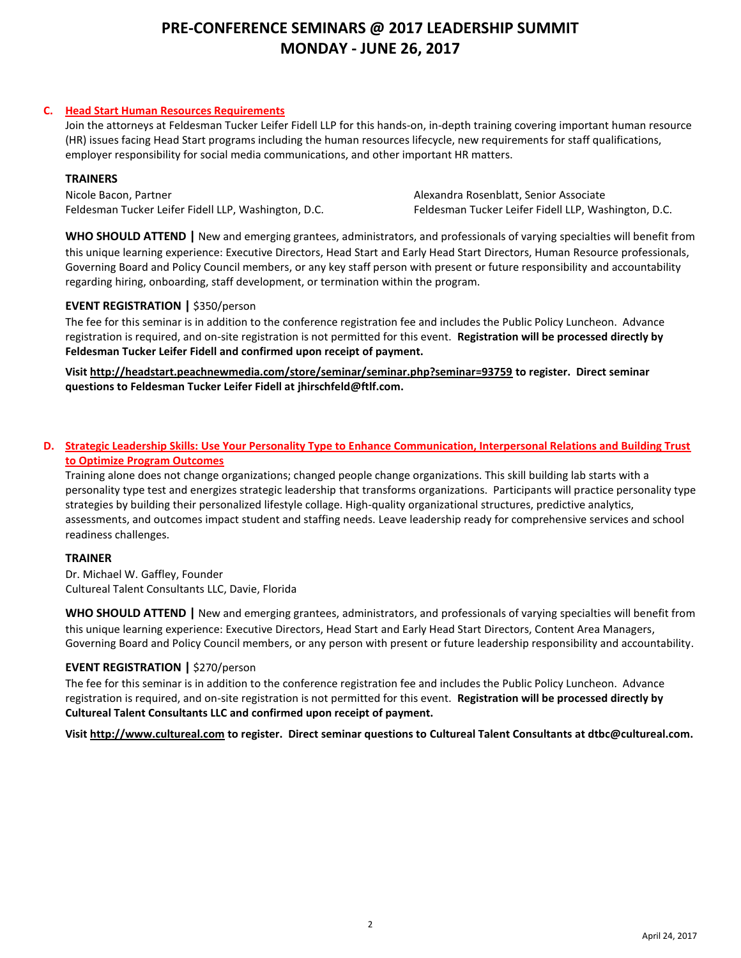# **PRE-CONFERENCE SEMINARS @ 2017 LEADERSHIP SUMMIT MONDAY - JUNE 26, 2017**

# **C. Head Start Human Resources Requirements**

Join the attorneys at Feldesman Tucker Leifer Fidell LLP for this hands-on, in-depth training covering important human resource (HR) issues facing Head Start programs including the human resources lifecycle, new requirements for staff qualifications, employer responsibility for social media communications, and other important HR matters.

### **TRAINERS**

Nicole Bacon, Partner Feldesman Tucker Leifer Fidell LLP, Washington, D.C. Alexandra Rosenblatt, Senior Associate Feldesman Tucker Leifer Fidell LLP, Washington, D.C.

**WHO SHOULD ATTEND |** New and emerging grantees, administrators, and professionals of varying specialties will benefit from this unique learning experience: Executive Directors, Head Start and Early Head Start Directors, Human Resource professionals, Governing Board and Policy Council members, or any key staff person with present or future responsibility and accountability regarding hiring, onboarding, staff development, or termination within the program.

# **EVENT REGISTRATION |** \$350/person

The fee for this seminar is in addition to the conference registration fee and includes the Public Policy Luncheon. Advance registration is required, and on-site registration is not permitted for this event. **Registration will be processed directly by Feldesman Tucker Leifer Fidell and confirmed upon receipt of payment.** 

**Visi[t http://headstart.peachnewmedia.com/store/seminar/seminar.php?seminar=93759](http://headstart.peachnewmedia.com/store/seminar/seminar.php?seminar=93759) to register. Direct seminar questions to Feldesman Tucker Leifer Fidell at jhirschfeld@ftlf.com.**

# **D. Strategic Leadership Skills: Use Your Personality Type to Enhance Communication, Interpersonal Relations and Building Trust to Optimize Program Outcomes**

Training alone does not change organizations; changed people change organizations. This skill building lab starts with a personality type test and energizes strategic leadership that transforms organizations. Participants will practice personality type strategies by building their personalized lifestyle collage. High-quality organizational structures, predictive analytics, assessments, and outcomes impact student and staffing needs. Leave leadership ready for comprehensive services and school readiness challenges.

#### **TRAINER**

Dr. Michael W. Gaffley, Founder Cultureal Talent Consultants LLC, Davie, Florida

**WHO SHOULD ATTEND |** New and emerging grantees, administrators, and professionals of varying specialties will benefit from this unique learning experience: Executive Directors, Head Start and Early Head Start Directors, Content Area Managers, Governing Board and Policy Council members, or any person with present or future leadership responsibility and accountability.

# **EVENT REGISTRATION |** \$270/person

The fee for this seminar is in addition to the conference registration fee and includes the Public Policy Luncheon. Advance registration is required, and on-site registration is not permitted for this event. **Registration will be processed directly by Cultureal Talent Consultants LLC and confirmed upon receipt of payment.** 

**Visit http:/[/www.cultureal.com](http://www.cultureal.com/) to register. Direct seminar questions to Cultureal Talent Consultants at dtbc@cultureal.com.**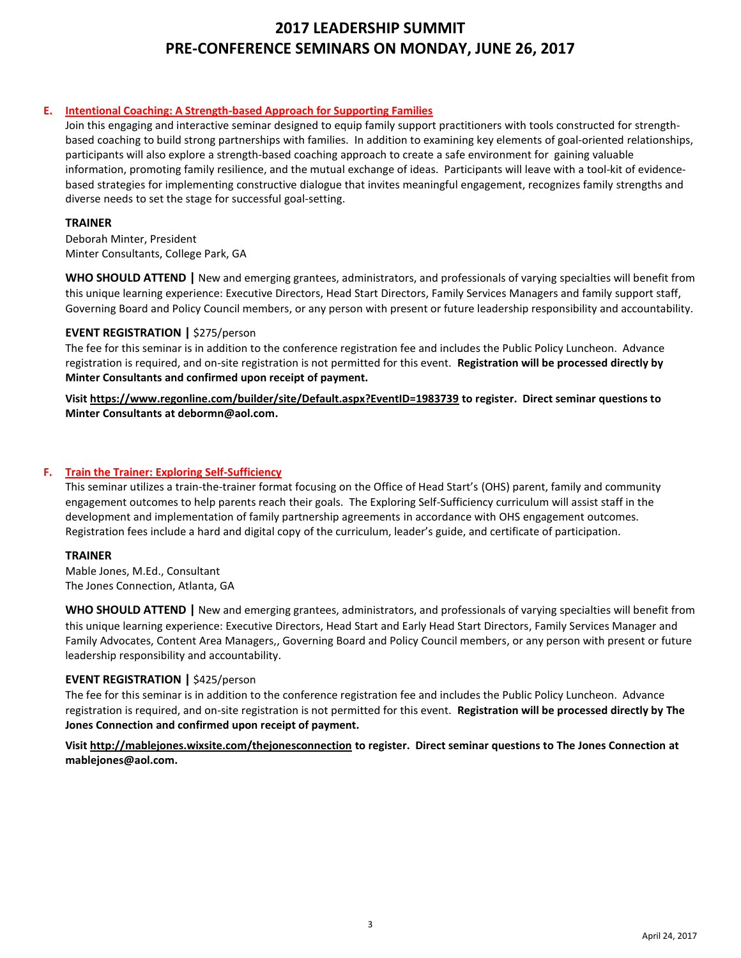# **2017 LEADERSHIP SUMMIT PRE-CONFERENCE SEMINARS ON MONDAY, JUNE 26, 2017**

# **E. Intentional Coaching: A Strength-based Approach for Supporting Families**

Join this engaging and interactive seminar designed to equip family support practitioners with tools constructed for strengthbased coaching to build strong partnerships with families. In addition to examining key elements of goal-oriented relationships, participants will also explore a strength-based coaching approach to create a safe environment for gaining valuable information, promoting family resilience, and the mutual exchange of ideas. Participants will leave with a tool-kit of evidencebased strategies for implementing constructive dialogue that invites meaningful engagement, recognizes family strengths and diverse needs to set the stage for successful goal-setting.

## **TRAINER**

Deborah Minter, President Minter Consultants, College Park, GA

**WHO SHOULD ATTEND |** New and emerging grantees, administrators, and professionals of varying specialties will benefit from this unique learning experience: Executive Directors, Head Start Directors, Family Services Managers and family support staff, Governing Board and Policy Council members, or any person with present or future leadership responsibility and accountability.

# **EVENT REGISTRATION |** \$275/person

The fee for this seminar is in addition to the conference registration fee and includes the Public Policy Luncheon. Advance registration is required, and on-site registration is not permitted for this event. **Registration will be processed directly by Minter Consultants and confirmed upon receipt of payment.** 

**Visi[t https://www.regonline.com/builder/site/Default.aspx?EventID=1983739](https://www.regonline.com/builder/site/Default.aspx?EventID=1983739) to register. Direct seminar questions to Minter Consultants at debormn@aol.com.**

## **F. Train the Trainer: Exploring Self-Sufficiency**

This seminar utilizes a train-the-trainer format focusing on the Office of Head Start's (OHS) parent, family and community engagement outcomes to help parents reach their goals. The Exploring Self-Sufficiency curriculum will assist staff in the development and implementation of family partnership agreements in accordance with OHS engagement outcomes. Registration fees include a hard and digital copy of the curriculum, leader's guide, and certificate of participation.

#### **TRAINER**

Mable Jones, M.Ed., Consultant The Jones Connection, Atlanta, GA

**WHO SHOULD ATTEND |** New and emerging grantees, administrators, and professionals of varying specialties will benefit from this unique learning experience: Executive Directors, Head Start and Early Head Start Directors, Family Services Manager and Family Advocates, Content Area Managers,, Governing Board and Policy Council members, or any person with present or future leadership responsibility and accountability.

# **EVENT REGISTRATION |** \$425/person

The fee for this seminar is in addition to the conference registration fee and includes the Public Policy Luncheon. Advance registration is required, and on-site registration is not permitted for this event. **Registration will be processed directly by The Jones Connection and confirmed upon receipt of payment.**

**Visi[t http://mablejones.wixsite.com/thejonesconnection](http://mablejones.wixsite.com/thejonesconnection) to register. Direct seminar questions to The Jones Connection at mablejones@aol.com.**